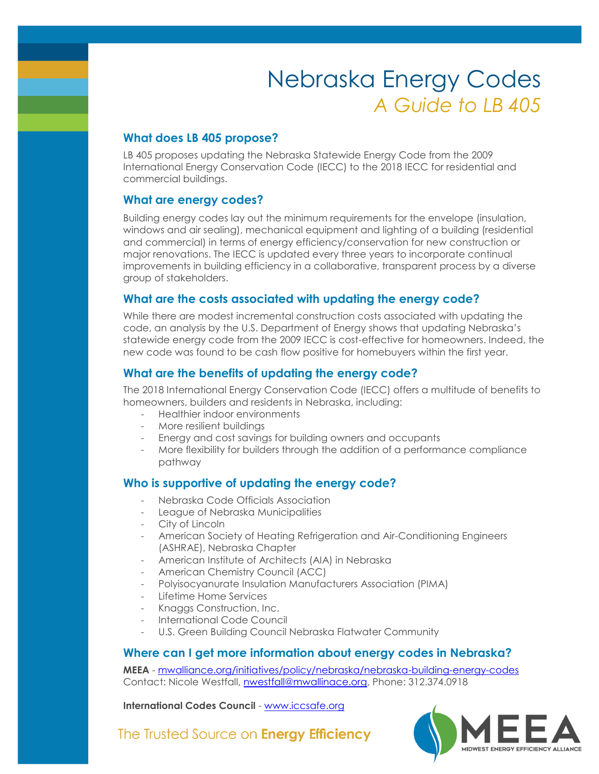# Nebraska Energy Codes *A Guide to LB 405*

#### **What does LB 405 propose?**

LB 405 proposes updating the Nebraska Statewide Energy Code from the 2009 International Energy Conservation Code (IECC) to the 2018 IECC for residential and commercial buildings.

#### **What are energy codes?**

Building energy codes lay out the minimum requirements for the envelope (insulation, windows and air sealing), mechanical equipment and lighting of a building (residential and commercial) in terms of energy efficiency/conservation for new construction or major renovations. The IECC is updated every three years to incorporate continual improvements in building efficiency in a collaborative, transparent process by a diverse group of stakeholders.

#### **What are the costs associated with updating the energy code?**

While there are modest incremental construction costs associated with updating the code, an analysis by the U.S. Department of Energy shows that updating Nebraska's statewide energy code from the 2009 IECC is cost-effective for homeowners. Indeed, the new code was found to be cash flow positive for homebuyers within the first year.

#### **What are the benefits of updating the energy code?**

The 2018 International Energy Conservation Code (IECC) offers a multitude of benefits to homeowners, builders and residents in Nebraska, including:

- Healthier indoor environments
- More resilient buildings
- Energy and cost savings for building owners and occupants
- More flexibility for builders through the addition of a performance compliance pathway

#### **Who is supportive of updating the energy code?**

- Nebraska Code Officials Association
- League of Nebraska Municipalities
- City of Lincoln
- American Society of Heating Refrigeration and Air-Conditioning Engineers (ASHRAE), Nebraska Chapter
- American Institute of Architects (AIA) in Nebraska
- American Chemistry Council (ACC)
- Polyisocyanurate Insulation Manufacturers Association (PIMA)
- Lifetime Home Services
- Knaggs Construction, Inc.
- International Code Council
- U.S. Green Building Council Nebraska Flatwater Community

#### **Where can I get more information about energy codes in Nebraska?**

**MEEA** - [mwalliance.org/initiatives/policy/nebraska/nebraska-building-energy-codes](http://www.mwalliance.org/initiatives/policy/nebraska/nebraska-building-energy-codes) Contact: Nicole Westfall, [nwestfall@mwallinace.org,](mailto:nwestfall@mwallinace.org) Phone: 312.374.0918

**International Codes Council** - [www.iccsafe.org](http://www.iccsafe.org/)

The Trusted Source on **Energy Efficiency** 

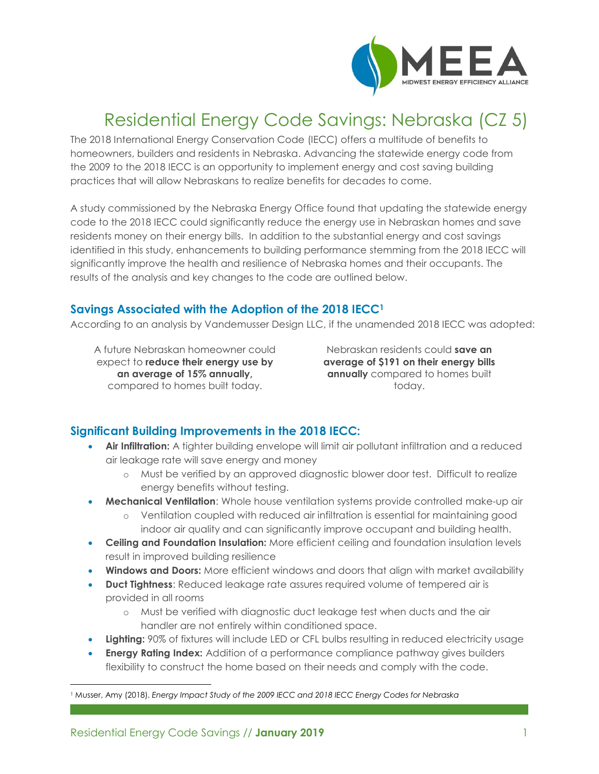

## Residential Energy Code Savings: Nebraska (CZ 5)

The 2018 International Energy Conservation Code (IECC) offers a multitude of benefits to homeowners, builders and residents in Nebraska. Advancing the statewide energy code from the 2009 to the 2018 IECC is an opportunity to implement energy and cost saving building practices that will allow Nebraskans to realize benefits for decades to come.

A study commissioned by the Nebraska Energy Office found that updating the statewide energy code to the 2018 IECC could significantly reduce the energy use in Nebraskan homes and save residents money on their energy bills. In addition to the substantial energy and cost savings identified in this study, enhancements to building performance stemming from the 2018 IECC will significantly improve the health and resilience of Nebraska homes and their occupants. The results of the analysis and key changes to the code are outlined below.

#### **Savings Associated with the Adoption of the 2018 IECC<sup>1</sup>**

According to an analysis by Vandemusser Design LLC, if the unamended 2018 IECC was adopted:

A future Nebraskan homeowner could expect to **reduce their energy use by an average of 15% annually,**  compared to homes built today.

Nebraskan residents could **save an average of \$191 on their energy bills annually** compared to homes built today.

### **Significant Building Improvements in the 2018 IECC:**

- **Air Infiltration:** A tighter building envelope will limit air pollutant infiltration and a reduced air leakage rate will save energy and money
	- o Must be verified by an approved diagnostic blower door test. Difficult to realize energy benefits without testing.
- **Mechanical Ventilation**: Whole house ventilation systems provide controlled make-up air
	- o Ventilation coupled with reduced air infiltration is essential for maintaining good indoor air quality and can significantly improve occupant and building health.
- **Ceiling and Foundation Insulation:** More efficient ceiling and foundation insulation levels result in improved building resilience
- **Windows and Doors:** More efficient windows and doors that align with market availability
- **Duct Tightness**: Reduced leakage rate assures required volume of tempered air is provided in all rooms
	- o Must be verified with diagnostic duct leakage test when ducts and the air handler are not entirely within conditioned space.
- **Lighting:** 90% of fixtures will include LED or CFL bulbs resulting in reduced electricity usage
- **Energy Rating Index:** Addition of a performance compliance pathway gives builders flexibility to construct the home based on their needs and comply with the code.

 $\overline{\phantom{a}}$ 

<sup>1</sup> Musser, Amy (2018). *Energy Impact Study of the 2009 IECC and 2018 IECC Energy Codes for Nebraska*